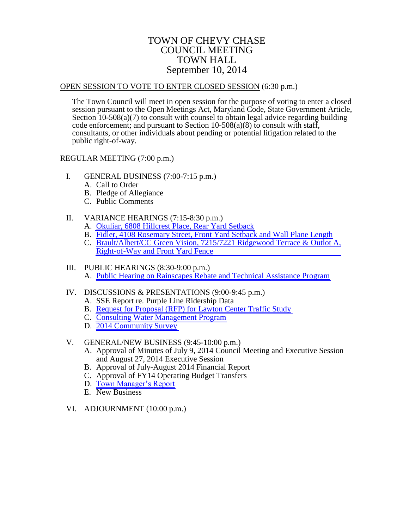### TOWN OF CHEVY CHASE COUNCIL MEETING TOWN HALL September 10, 2014

#### OPEN SESSION TO VOTE TO ENTER CLOSED SESSION (6:30 p.m.)

The Town Council will meet in open session for the purpose of voting to enter a closed session pursuant to the Open Meetings Act, Maryland Code, State Government Article, Section 10-508(a)(7) to consult with counsel to obtain legal advice regarding building code enforcement; and pursuant to Section  $10-508(a)(8)$  to consult with staff, consultants, or other individuals about pending or potential litigation related to the public right-of-way.

#### REGULAR MEETING (7:00 p.m.)

- I. GENERAL BUSINESS (7:00-7:15 p.m.)
	- A. Call to Order
	- B. Pledge of Allegiance
	- C. Public Comments

### II. VARIANCE HEARINGS (7:15-8:30 p.m.)

- A. [Okuliar, 6808 Hillcrest Place, Rear Yard Setback](#page-1-0)
- B. [Fidler, 4108 Rosemary Street, Front Yard Setback and Wall Plane Length](#page-3-0)
- C. [Brault/Albert/CC Green Vision, 7215/7221](#page-6-0) Ridgewood Terrace & Outlot A, Right-of-Way and Front Yard Fence

#### III. PUBLIC HEARINGS (8:30-9:00 p.m.) A. [Public Hearing on Rainscapes Rebate and Technical Assistance Program](#page-8-0)

### IV. DISCUSSIONS & PRESENTATIONS (9:00-9:45 p.m.)

- A. SSE Report re. Purple Line Ridership Data
- B. [Request for Proposal \(RFP\) for Lawton Center Traffic Study](#page-12-0)
- C. [Consulting Water Management Program](#page-14-0)
- D. [2014 Community Survey](#page-15-0)

### V. GENERAL/NEW BUSINESS (9:45-10:00 p.m.)

- A. Approval of Minutes of July 9, 2014 Council Meeting and Executive Session and August 27, 2014 Executive Session
- B. Approval of July-August 2014 Financial Report
- C. Approval of FY14 Operating Budget Transfers
- D. [Town Manager's Report](#page-16-0)
- E. New Business
- VI. ADJOURNMENT (10:00 p.m.)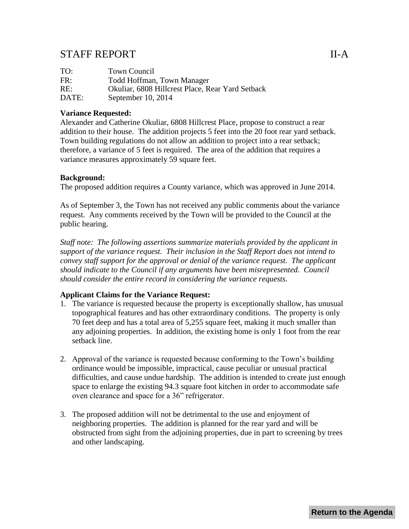## <span id="page-1-0"></span>STAFF REPORT II-A

| TO:   | Town Council                                     |
|-------|--------------------------------------------------|
| FR:   | Todd Hoffman, Town Manager                       |
| RE:   | Okuliar, 6808 Hillcrest Place, Rear Yard Setback |
| DATE: | September 10, $2014$                             |

### **Variance Requested:**

Alexander and Catherine Okuliar, 6808 Hillcrest Place, propose to construct a rear addition to their house. The addition projects 5 feet into the 20 foot rear yard setback. Town building regulations do not allow an addition to project into a rear setback; therefore, a variance of 5 feet is required. The area of the addition that requires a variance measures approximately 59 square feet.

### **Background:**

The proposed addition requires a County variance, which was approved in June 2014.

As of September 3, the Town has not received any public comments about the variance request. Any comments received by the Town will be provided to the Council at the public hearing.

*Staff note: The following assertions summarize materials provided by the applicant in support of the variance request. Their inclusion in the Staff Report does not intend to convey staff support for the approval or denial of the variance request. The applicant should indicate to the Council if any arguments have been misrepresented. Council should consider the entire record in considering the variance requests.*

#### **Applicant Claims for the Variance Request:**

- 1. The variance is requested because the property is exceptionally shallow, has unusual topographical features and has other extraordinary conditions. The property is only 70 feet deep and has a total area of 5,255 square feet, making it much smaller than any adjoining properties. In addition, the existing home is only 1 foot from the rear setback line.
- 2. Approval of the variance is requested because conforming to the Town's building ordinance would be impossible, impractical, cause peculiar or unusual practical difficulties, and cause undue hardship. The addition is intended to create just enough space to enlarge the existing 94.3 square foot kitchen in order to accommodate safe oven clearance and space for a 36" refrigerator.
- 3. The proposed addition will not be detrimental to the use and enjoyment of neighboring properties. The addition is planned for the rear yard and will be obstructed from sight from the adjoining properties, due in part to screening by trees and other landscaping.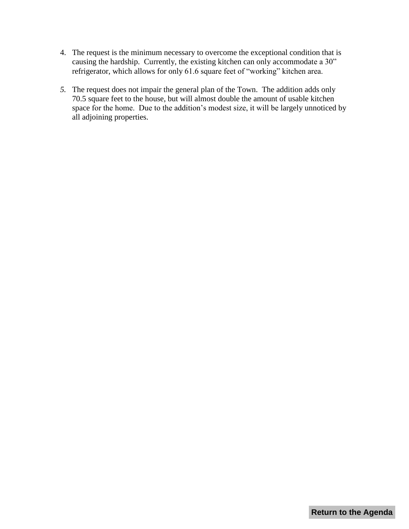- 4. The request is the minimum necessary to overcome the exceptional condition that is causing the hardship. Currently, the existing kitchen can only accommodate a 30" refrigerator, which allows for only 61.6 square feet of "working" kitchen area.
- *5.* The request does not impair the general plan of the Town. The addition adds only 70.5 square feet to the house, but will almost double the amount of usable kitchen space for the home. Due to the addition's modest size, it will be largely unnoticed by all adjoining properties.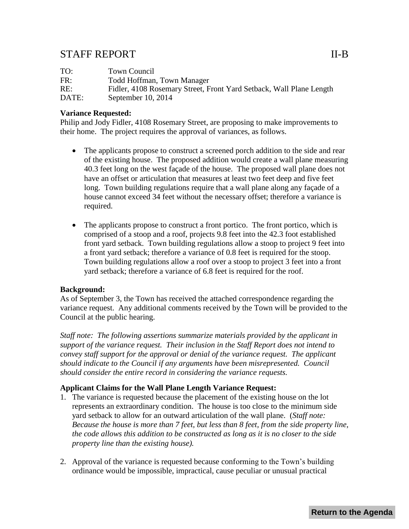## <span id="page-3-0"></span>STAFF REPORT II-B

| TO:   | Town Council                                                        |
|-------|---------------------------------------------------------------------|
| FR:   | Todd Hoffman, Town Manager                                          |
| RE:   | Fidler, 4108 Rosemary Street, Front Yard Setback, Wall Plane Length |
| DATE: | September 10, $2014$                                                |

### **Variance Requested:**

Philip and Jody Fidler, 4108 Rosemary Street, are proposing to make improvements to their home. The project requires the approval of variances, as follows.

- The applicants propose to construct a screened porch addition to the side and rear of the existing house. The proposed addition would create a wall plane measuring 40.3 feet long on the west façade of the house. The proposed wall plane does not have an offset or articulation that measures at least two feet deep and five feet long. Town building regulations require that a wall plane along any façade of a house cannot exceed 34 feet without the necessary offset; therefore a variance is required.
- The applicants propose to construct a front portico. The front portico, which is comprised of a stoop and a roof, projects 9.8 feet into the 42.3 foot established front yard setback. Town building regulations allow a stoop to project 9 feet into a front yard setback; therefore a variance of 0.8 feet is required for the stoop. Town building regulations allow a roof over a stoop to project 3 feet into a front yard setback; therefore a variance of 6.8 feet is required for the roof.

### **Background:**

As of September 3, the Town has received the attached correspondence regarding the variance request. Any additional comments received by the Town will be provided to the Council at the public hearing.

*Staff note: The following assertions summarize materials provided by the applicant in support of the variance request. Their inclusion in the Staff Report does not intend to convey staff support for the approval or denial of the variance request. The applicant should indicate to the Council if any arguments have been misrepresented. Council should consider the entire record in considering the variance requests.*

### **Applicant Claims for the Wall Plane Length Variance Request:**

- 1. The variance is requested because the placement of the existing house on the lot represents an extraordinary condition. The house is too close to the minimum side yard setback to allow for an outward articulation of the wall plane. (*Staff note: Because the house is more than 7 feet, but less than 8 feet, from the side property line, the code allows this addition to be constructed as long as it is no closer to the side property line than the existing house).*
- 2. Approval of the variance is requested because conforming to the Town's building ordinance would be impossible, impractical, cause peculiar or unusual practical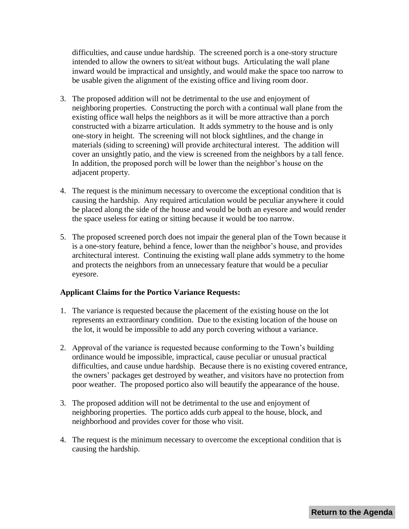difficulties, and cause undue hardship. The screened porch is a one-story structure intended to allow the owners to sit/eat without bugs. Articulating the wall plane inward would be impractical and unsightly, and would make the space too narrow to be usable given the alignment of the existing office and living room door.

- 3. The proposed addition will not be detrimental to the use and enjoyment of neighboring properties. Constructing the porch with a continual wall plane from the existing office wall helps the neighbors as it will be more attractive than a porch constructed with a bizarre articulation. It adds symmetry to the house and is only one-story in height. The screening will not block sightlines, and the change in materials (siding to screening) will provide architectural interest. The addition will cover an unsightly patio, and the view is screened from the neighbors by a tall fence. In addition, the proposed porch will be lower than the neighbor's house on the adjacent property.
- 4. The request is the minimum necessary to overcome the exceptional condition that is causing the hardship. Any required articulation would be peculiar anywhere it could be placed along the side of the house and would be both an eyesore and would render the space useless for eating or sitting because it would be too narrow.
- 5. The proposed screened porch does not impair the general plan of the Town because it is a one-story feature, behind a fence, lower than the neighbor's house, and provides architectural interest. Continuing the existing wall plane adds symmetry to the home and protects the neighbors from an unnecessary feature that would be a peculiar eyesore.

### **Applicant Claims for the Portico Variance Requests:**

- 1. The variance is requested because the placement of the existing house on the lot represents an extraordinary condition. Due to the existing location of the house on the lot, it would be impossible to add any porch covering without a variance.
- 2. Approval of the variance is requested because conforming to the Town's building ordinance would be impossible, impractical, cause peculiar or unusual practical difficulties, and cause undue hardship. Because there is no existing covered entrance, the owners' packages get destroyed by weather, and visitors have no protection from poor weather. The proposed portico also will beautify the appearance of the house.
- 3. The proposed addition will not be detrimental to the use and enjoyment of neighboring properties. The portico adds curb appeal to the house, block, and neighborhood and provides cover for those who visit.
- 4. The request is the minimum necessary to overcome the exceptional condition that is causing the hardship.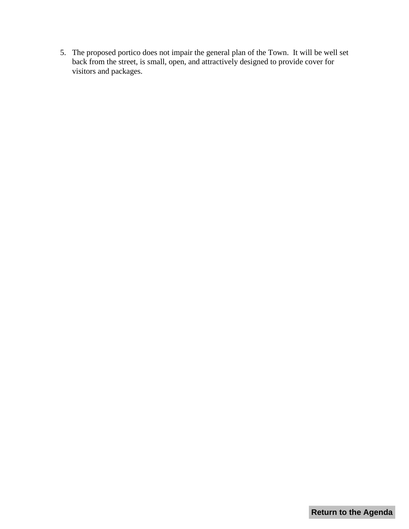5. The proposed portico does not impair the general plan of the Town. It will be well set back from the street, is small, open, and attractively designed to provide cover for visitors and packages.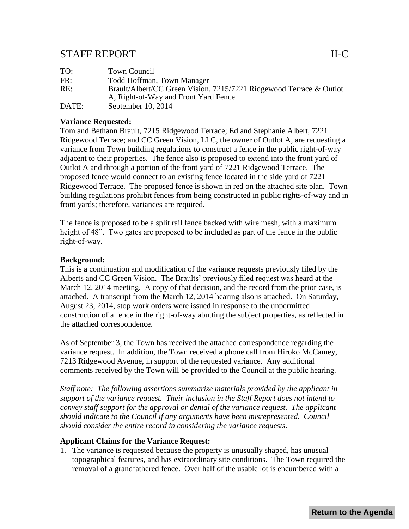## <span id="page-6-0"></span>STAFF REPORT II-C

| TO:   | Town Council                                                        |
|-------|---------------------------------------------------------------------|
| FR:   | Todd Hoffman, Town Manager                                          |
| RE:   | Brault/Albert/CC Green Vision, 7215/7221 Ridgewood Terrace & Outlot |
|       | A, Right-of-Way and Front Yard Fence                                |
| DATE: | September $10, 2014$                                                |
|       |                                                                     |

### **Variance Requested:**

Tom and Bethann Brault, 7215 Ridgewood Terrace; Ed and Stephanie Albert, 7221 Ridgewood Terrace; and CC Green Vision, LLC, the owner of Outlot A, are requesting a variance from Town building regulations to construct a fence in the public right-of-way adjacent to their properties. The fence also is proposed to extend into the front yard of Outlot A and through a portion of the front yard of 7221 Ridgewood Terrace. The proposed fence would connect to an existing fence located in the side yard of 7221 Ridgewood Terrace. The proposed fence is shown in red on the attached site plan. Town building regulations prohibit fences from being constructed in public rights-of-way and in front yards; therefore, variances are required.

The fence is proposed to be a split rail fence backed with wire mesh, with a maximum height of 48". Two gates are proposed to be included as part of the fence in the public right-of-way.

### **Background:**

This is a continuation and modification of the variance requests previously filed by the Alberts and CC Green Vision. The Braults' previously filed request was heard at the March 12, 2014 meeting. A copy of that decision, and the record from the prior case, is attached. A transcript from the March 12, 2014 hearing also is attached. On Saturday, August 23, 2014, stop work orders were issued in response to the unpermitted construction of a fence in the right-of-way abutting the subject properties, as reflected in the attached correspondence.

As of September 3, the Town has received the attached correspondence regarding the variance request. In addition, the Town received a phone call from Hiroko McCamey, 7213 Ridgewood Avenue, in support of the requested variance. Any additional comments received by the Town will be provided to the Council at the public hearing.

*Staff note: The following assertions summarize materials provided by the applicant in support of the variance request. Their inclusion in the Staff Report does not intend to convey staff support for the approval or denial of the variance request. The applicant should indicate to the Council if any arguments have been misrepresented. Council should consider the entire record in considering the variance requests.*

#### **Applicant Claims for the Variance Request:**

1. The variance is requested because the property is unusually shaped, has unusual topographical features, and has extraordinary site conditions. The Town required the removal of a grandfathered fence. Over half of the usable lot is encumbered with a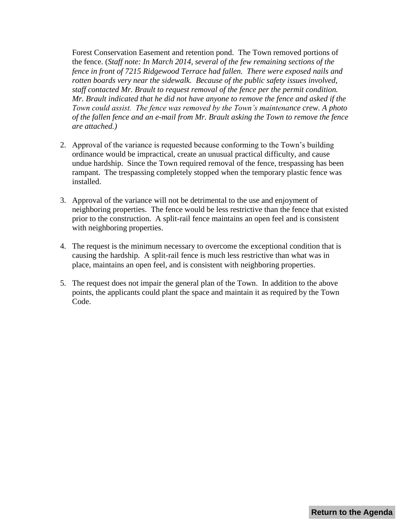Forest Conservation Easement and retention pond. The Town removed portions of the fence. (*Staff note: In March 2014, several of the few remaining sections of the fence in front of 7215 Ridgewood Terrace had fallen. There were exposed nails and rotten boards very near the sidewalk. Because of the public safety issues involved, staff contacted Mr. Brault to request removal of the fence per the permit condition. Mr. Brault indicated that he did not have anyone to remove the fence and asked if the Town could assist. The fence was removed by the Town's maintenance crew. A photo of the fallen fence and an e-mail from Mr. Brault asking the Town to remove the fence are attached.)*

- 2. Approval of the variance is requested because conforming to the Town's building ordinance would be impractical, create an unusual practical difficulty, and cause undue hardship. Since the Town required removal of the fence, trespassing has been rampant. The trespassing completely stopped when the temporary plastic fence was installed.
- 3. Approval of the variance will not be detrimental to the use and enjoyment of neighboring properties. The fence would be less restrictive than the fence that existed prior to the construction. A split-rail fence maintains an open feel and is consistent with neighboring properties.
- 4. The request is the minimum necessary to overcome the exceptional condition that is causing the hardship. A split-rail fence is much less restrictive than what was in place, maintains an open feel, and is consistent with neighboring properties.
- 5. The request does not impair the general plan of the Town. In addition to the above points, the applicants could plant the space and maintain it as required by the Town Code.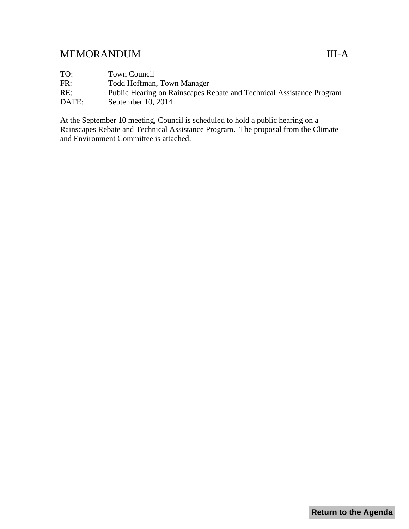## <span id="page-8-0"></span>MEMORANDUM III-A

TO: Town Council FR: Todd Hoffman, Town Manager RE: Public Hearing on Rainscapes Rebate and Technical Assistance Program DATE: September 10, 2014

At the September 10 meeting, Council is scheduled to hold a public hearing on a Rainscapes Rebate and Technical Assistance Program. The proposal from the Climate and Environment Committee is attached.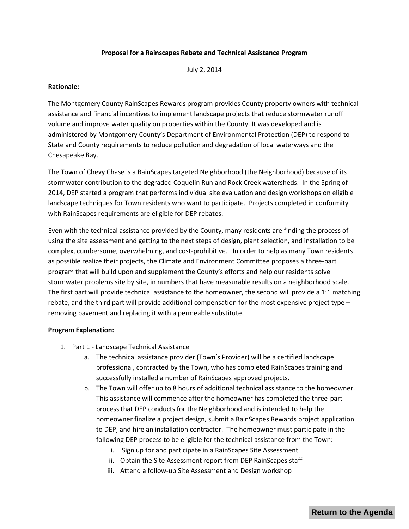#### **Proposal for a Rainscapes Rebate and Technical Assistance Program**

July 2, 2014

#### **Rationale:**

The Montgomery County RainScapes Rewards program provides County property owners with technical assistance and financial incentives to implement landscape projects that reduce stormwater runoff volume and improve water quality on properties within the County. It was developed and is administered by Montgomery County's Department of Environmental Protection (DEP) to respond to State and County requirements to reduce pollution and degradation of local waterways and the Chesapeake Bay.

The Town of Chevy Chase is a RainScapes targeted Neighborhood (the Neighborhood) because of its stormwater contribution to the degraded Coquelin Run and Rock Creek watersheds. In the Spring of 2014, DEP started a program that performs individual site evaluation and design workshops on eligible landscape techniques for Town residents who want to participate. Projects completed in conformity with RainScapes requirements are eligible for DEP rebates.

Even with the technical assistance provided by the County, many residents are finding the process of using the site assessment and getting to the next steps of design, plant selection, and installation to be complex, cumbersome, overwhelming, and cost-prohibitive. In order to help as many Town residents as possible realize their projects, the Climate and Environment Committee proposes a three-part program that will build upon and supplement the County's efforts and help our residents solve stormwater problems site by site, in numbers that have measurable results on a neighborhood scale. The first part will provide technical assistance to the homeowner, the second will provide a 1:1 matching rebate, and the third part will provide additional compensation for the most expensive project type – removing pavement and replacing it with a permeable substitute.

#### **Program Explanation:**

- 1. Part 1 Landscape Technical Assistance
	- a. The technical assistance provider (Town's Provider) will be a certified landscape professional, contracted by the Town, who has completed RainScapes training and successfully installed a number of RainScapes approved projects.
	- b. The Town will offer up to 8 hours of additional technical assistance to the homeowner. This assistance will commence after the homeowner has completed the three-part process that DEP conducts for the Neighborhood and is intended to help the homeowner finalize a project design, submit a RainScapes Rewards project application to DEP, and hire an installation contractor. The homeowner must participate in the following DEP process to be eligible for the technical assistance from the Town:
		- i. Sign up for and participate in a RainScapes Site Assessment
		- ii. Obtain the Site Assessment report from DEP RainScapes staff
		- iii. Attend a follow-up Site Assessment and Design workshop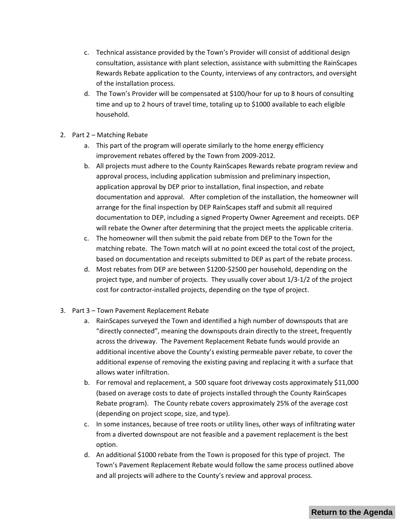- c. Technical assistance provided by the Town's Provider will consist of additional design consultation, assistance with plant selection, assistance with submitting the RainScapes Rewards Rebate application to the County, interviews of any contractors, and oversight of the installation process.
- d. The Town's Provider will be compensated at \$100/hour for up to 8 hours of consulting time and up to 2 hours of travel time, totaling up to \$1000 available to each eligible household.
- 2. Part 2 Matching Rebate
	- a. This part of the program will operate similarly to the home energy efficiency improvement rebates offered by the Town from 2009-2012.
	- b. All projects must adhere to the County RainScapes Rewards rebate program review and approval process, including application submission and preliminary inspection, application approval by DEP prior to installation, final inspection, and rebate documentation and approval. After completion of the installation, the homeowner will arrange for the final inspection by DEP RainScapes staff and submit all required documentation to DEP, including a signed Property Owner Agreement and receipts. DEP will rebate the Owner after determining that the project meets the applicable criteria.
	- c. The homeowner will then submit the paid rebate from DEP to the Town for the matching rebate. The Town match will at no point exceed the total cost of the project, based on documentation and receipts submitted to DEP as part of the rebate process.
	- d. Most rebates from DEP are between \$1200-\$2500 per household, depending on the project type, and number of projects. They usually cover about 1/3-1/2 of the project cost for contractor-installed projects, depending on the type of project.
- 3. Part 3 Town Pavement Replacement Rebate
	- a. RainScapes surveyed the Town and identified a high number of downspouts that are "directly connected", meaning the downspouts drain directly to the street, frequently across the driveway. The Pavement Replacement Rebate funds would provide an additional incentive above the County's existing permeable paver rebate, to cover the additional expense of removing the existing paving and replacing it with a surface that allows water infiltration.
	- b. For removal and replacement, a 500 square foot driveway costs approximately \$11,000 (based on average costs to date of projects installed through the County RainScapes Rebate program). The County rebate covers approximately 25% of the average cost (depending on project scope, size, and type).
	- c. In some instances, because of tree roots or utility lines, other ways of infiltrating water from a diverted downspout are not feasible and a pavement replacement is the best option.
	- d. An additional \$1000 rebate from the Town is proposed for this type of project. The Town's Pavement Replacement Rebate would follow the same process outlined above and all projects will adhere to the County's review and approval process.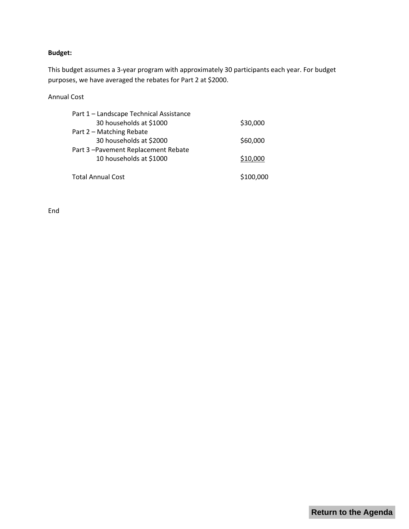### **Budget:**

This budget assumes a 3-year program with approximately 30 participants each year. For budget purposes, we have averaged the rebates for Part 2 at \$2000.

#### Annual Cost

| Part 1 - Landscape Technical Assistance |           |
|-----------------------------------------|-----------|
| 30 households at \$1000                 | \$30,000  |
| Part 2 - Matching Rebate                |           |
| 30 households at \$2000                 | \$60,000  |
| Part 3-Pavement Replacement Rebate      |           |
| 10 households at \$1000                 | \$10,000  |
|                                         |           |
| <b>Total Annual Cost</b>                | \$100,000 |

End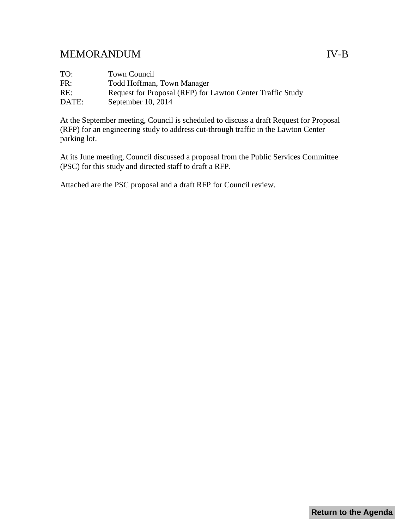# <span id="page-12-0"></span>MEMORANDUM IV-B

| TO:   | Town Council                                               |
|-------|------------------------------------------------------------|
| FR:   | Todd Hoffman, Town Manager                                 |
| RE:   | Request for Proposal (RFP) for Lawton Center Traffic Study |
| DATE: | September $10, 2014$                                       |

At the September meeting, Council is scheduled to discuss a draft Request for Proposal (RFP) for an engineering study to address cut-through traffic in the Lawton Center parking lot.

At its June meeting, Council discussed a proposal from the Public Services Committee (PSC) for this study and directed staff to draft a RFP.

Attached are the PSC proposal and a draft RFP for Council review.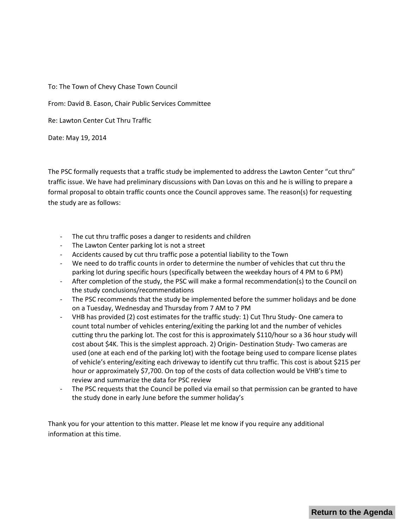To: The Town of Chevy Chase Town Council

From: David B. Eason, Chair Public Services Committee

Re: Lawton Center Cut Thru Traffic

Date: May 19, 2014

The PSC formally requests that a traffic study be implemented to address the Lawton Center "cut thru" traffic issue. We have had preliminary discussions with Dan Lovas on this and he is willing to prepare a formal proposal to obtain traffic counts once the Council approves same. The reason(s) for requesting the study are as follows:

- The cut thru traffic poses a danger to residents and children
- The Lawton Center parking lot is not a street
- Accidents caused by cut thru traffic pose a potential liability to the Town
- We need to do traffic counts in order to determine the number of vehicles that cut thru the parking lot during specific hours (specifically between the weekday hours of 4 PM to 6 PM)
- After completion of the study, the PSC will make a formal recommendation(s) to the Council on the study conclusions/recommendations
- The PSC recommends that the study be implemented before the summer holidays and be done on a Tuesday, Wednesday and Thursday from 7 AM to 7 PM
- VHB has provided (2) cost estimates for the traffic study: 1) Cut Thru Study- One camera to count total number of vehicles entering/exiting the parking lot and the number of vehicles cutting thru the parking lot. The cost for this is approximately \$110/hour so a 36 hour study will cost about \$4K. This is the simplest approach. 2) Origin- Destination Study- Two cameras are used (one at each end of the parking lot) with the footage being used to compare license plates of vehicle's entering/exiting each driveway to identify cut thru traffic. This cost is about \$215 per hour or approximately \$7,700. On top of the costs of data collection would be VHB's time to review and summarize the data for PSC review
- The PSC requests that the Council be polled via email so that permission can be granted to have the study done in early June before the summer holiday's

Thank you for your attention to this matter. Please let me know if you require any additional information at this time.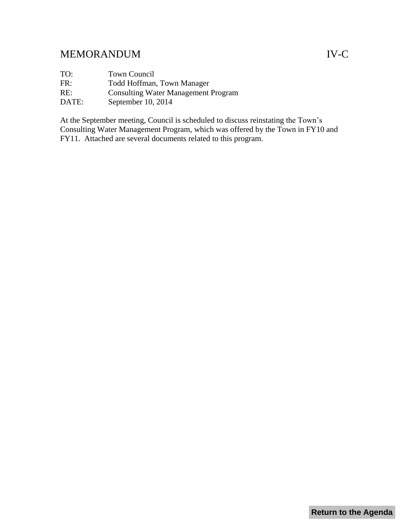# <span id="page-14-0"></span>MEMORANDUM IV-C

TO: Town Council FR: Todd Hoffman, Town Manager RE: Consulting Water Management Program DATE: September 10, 2014

At the September meeting, Council is scheduled to discuss reinstating the Town's Consulting Water Management Program, which was offered by the Town in FY10 and FY11. Attached are several documents related to this program.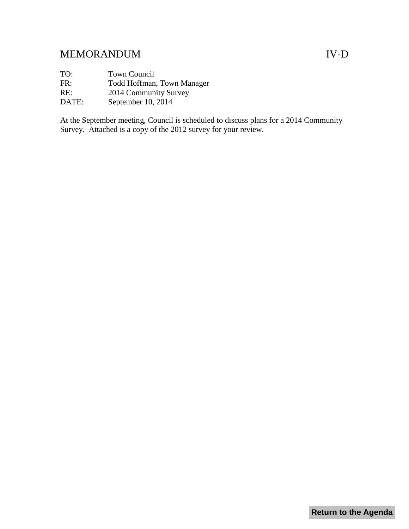## <span id="page-15-0"></span>MEMORANDUM IV-D

TO: Town Council

FR: Todd Hoffman, Town Manager

RE: 2014 Community Survey

DATE: September 10, 2014

At the September meeting, Council is scheduled to discuss plans for a 2014 Community Survey. Attached is a copy of the 2012 survey for your review.